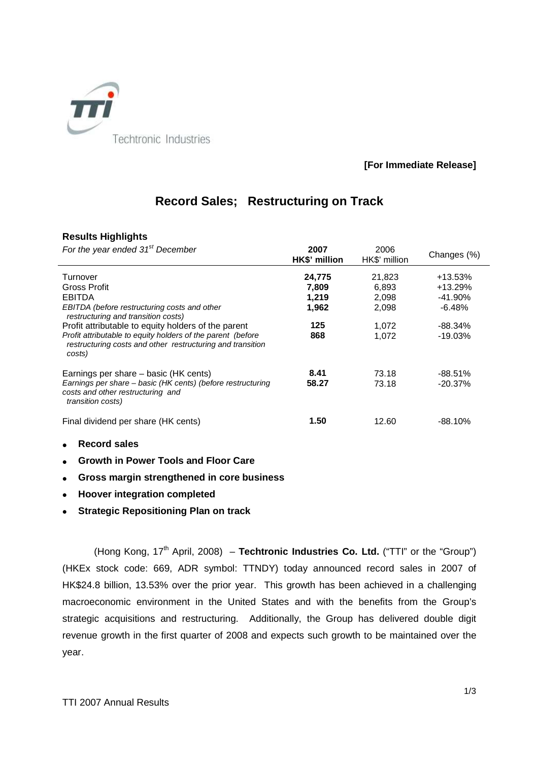

## **[For Immediate Release]**

# **Record Sales; Restructuring on Track**

## **Results Highlights**

| For the year ended 31 <sup>st</sup> December                                                                                                                                                                                                                                                                         | 2007<br>HK\$' million                           | 2006<br>HK\$' million                               | Changes (%)                                                          |
|----------------------------------------------------------------------------------------------------------------------------------------------------------------------------------------------------------------------------------------------------------------------------------------------------------------------|-------------------------------------------------|-----------------------------------------------------|----------------------------------------------------------------------|
| Turnover<br>Gross Profit<br><b>EBITDA</b><br>EBITDA (before restructuring costs and other<br>restructuring and transition costs)<br>Profit attributable to equity holders of the parent<br>Profit attributable to equity holders of the parent (before<br>restructuring costs and other restructuring and transition | 24,775<br>7,809<br>1,219<br>1,962<br>125<br>868 | 21,823<br>6,893<br>2,098<br>2,098<br>1,072<br>1,072 | +13.53%<br>+13.29%<br>$-41.90\%$<br>$-6.48%$<br>-88.34%<br>$-19.03%$ |
| costs)<br>Earnings per share – basic (HK cents)<br>Earnings per share – basic (HK cents) (before restructuring<br>costs and other restructuring and<br>transition costs)                                                                                                                                             | 8.41<br>58.27                                   | 73.18<br>73.18                                      | $-88.51\%$<br>-20.37%                                                |
| Final dividend per share (HK cents)<br><b>Record sales</b>                                                                                                                                                                                                                                                           | 1.50                                            | 12.60                                               | -88.10%                                                              |
|                                                                                                                                                                                                                                                                                                                      |                                                 |                                                     |                                                                      |

- **Growth in Power Tools and Floor Care**
- **Gross margin strengthened in core business**
- **Hoover integration completed**
- **Strategic Repositioning Plan on track**

(Hong Kong, 17<sup>th</sup> April, 2008) – **Techtronic Industries Co. Ltd.** ("TTI" or the "Group") (HKEx stock code: 669, ADR symbol: TTNDY) today announced record sales in 2007 of HK\$24.8 billion, 13.53% over the prior year. This growth has been achieved in a challenging macroeconomic environment in the United States and with the benefits from the Group's strategic acquisitions and restructuring. Additionally, the Group has delivered double digit revenue growth in the first quarter of 2008 and expects such growth to be maintained over the year.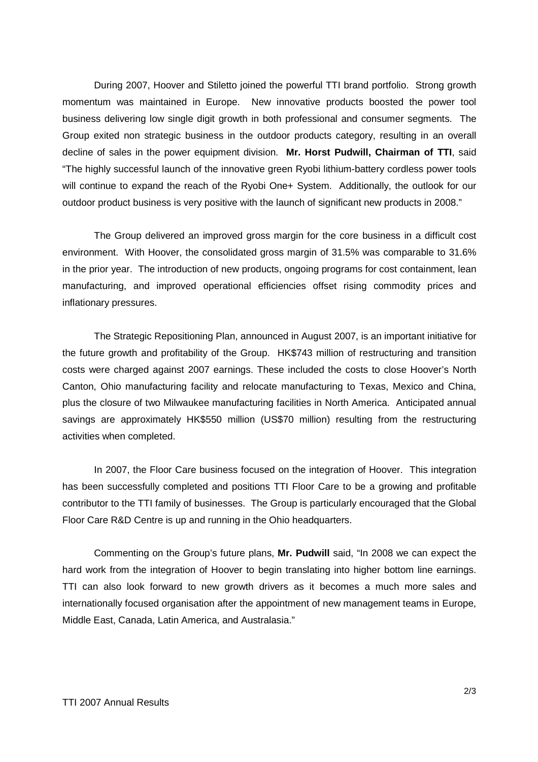During 2007, Hoover and Stiletto joined the powerful TTI brand portfolio. Strong growth momentum was maintained in Europe. New innovative products boosted the power tool business delivering low single digit growth in both professional and consumer segments. The Group exited non strategic business in the outdoor products category, resulting in an overall decline of sales in the power equipment division. **Mr. Horst Pudwill, Chairman of TTI**, said "The highly successful launch of the innovative green Ryobi lithium-battery cordless power tools will continue to expand the reach of the Ryobi One+ System. Additionally, the outlook for our outdoor product business is very positive with the launch of significant new products in 2008."

The Group delivered an improved gross margin for the core business in a difficult cost environment. With Hoover, the consolidated gross margin of 31.5% was comparable to 31.6% in the prior year. The introduction of new products, ongoing programs for cost containment, lean manufacturing, and improved operational efficiencies offset rising commodity prices and inflationary pressures.

The Strategic Repositioning Plan, announced in August 2007, is an important initiative for the future growth and profitability of the Group. HK\$743 million of restructuring and transition costs were charged against 2007 earnings. These included the costs to close Hoover's North Canton, Ohio manufacturing facility and relocate manufacturing to Texas, Mexico and China, plus the closure of two Milwaukee manufacturing facilities in North America. Anticipated annual savings are approximately HK\$550 million (US\$70 million) resulting from the restructuring activities when completed.

In 2007, the Floor Care business focused on the integration of Hoover. This integration has been successfully completed and positions TTI Floor Care to be a growing and profitable contributor to the TTI family of businesses. The Group is particularly encouraged that the Global Floor Care R&D Centre is up and running in the Ohio headquarters.

Commenting on the Group's future plans, **Mr. Pudwill** said, "In 2008 we can expect the hard work from the integration of Hoover to begin translating into higher bottom line earnings. TTI can also look forward to new growth drivers as it becomes a much more sales and internationally focused organisation after the appointment of new management teams in Europe, Middle East, Canada, Latin America, and Australasia."